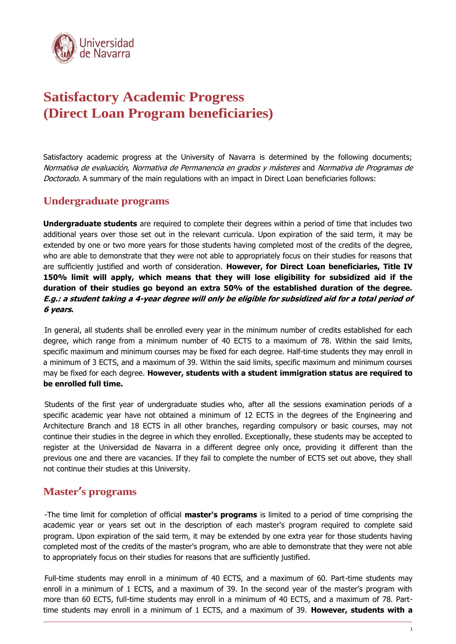

# **Satisfactory Academic Progress (Direct Loan Program beneficiaries)**

Satisfactory academic progress at the University of Navarra is determined by the following documents; Normativa de evaluación, Normativa de Permanencia en grados y másteres and Normativa de Programas de Doctorado. A summary of the main regulations with an impact in Direct Loan beneficiaries follows:

# **Undergraduate programs**

**Undergraduate students** are required to complete their degrees within a period of time that includes two additional years over those set out in the relevant curricula. Upon expiration of the said term, it may be extended by one or two more years for those students having completed most of the credits of the degree, who are able to demonstrate that they were not able to appropriately focus on their studies for reasons that are sufficiently justified and worth of consideration. **However, for Direct Loan beneficiaries, Title IV 150% limit will apply, which means that they will lose eligibility for subsidized aid if the duration of their studies go beyond an extra 50% of the established duration of the degree. E.g.: a student taking a 4-year degree will only be eligible for subsidized aid for a total period of 6 years.** 

In general, all students shall be enrolled every year in the minimum number of credits established for each degree, which range from a minimum number of 40 ECTS to a maximum of 78. Within the said limits, specific maximum and minimum courses may be fixed for each degree. Half-time students they may enroll in a minimum of 3 ECTS, and a maximum of 39. Within the said limits, specific maximum and minimum courses may be fixed for each degree. **However, students with a student immigration status are required to be enrolled full time.**

Students of the first year of undergraduate studies who, after all the sessions examination periods of a specific academic year have not obtained a minimum of 12 ECTS in the degrees of the Engineering and Architecture Branch and 18 ECTS in all other branches, regarding compulsory or basic courses, may not continue their studies in the degree in which they enrolled. Exceptionally, these students may be accepted to register at the Universidad de Navarra in a different degree only once, providing it different than the previous one and there are vacancies. If they fail to complete the number of ECTS set out above, they shall not continue their studies at this University.

#### **Master's programs**

-The time limit for completion of official **master's programs** is limited to a period of time comprising the academic year or years set out in the description of each master's program required to complete said program. Upon expiration of the said term, it may be extended by one extra year for those students having completed most of the credits of the master's program, who are able to demonstrate that they were not able to appropriately focus on their studies for reasons that are sufficiently justified.

Full-time students may enroll in a minimum of 40 ECTS, and a maximum of 60. Part-time students may enroll in a minimum of 1 ECTS, and a maximum of 39. In the second year of the master's program with more than 60 ECTS, full-time students may enroll in a minimum of 40 ECTS, and a maximum of 78. Parttime students may enroll in a minimum of 1 ECTS, and a maximum of 39. **However, students with a**